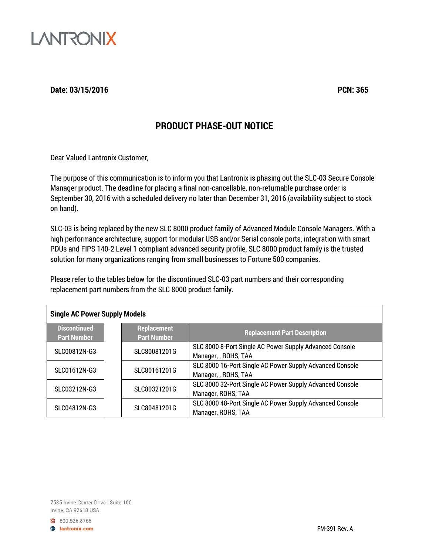

**Date: 03/15/2016 PCN: 365**

### **PRODUCT PHASE-OUT NOTICE**

Dear Valued Lantronix Customer,

The purpose of this communication is to inform you that Lantronix is phasing out the SLC-03 Secure Console Manager product. The deadline for placing a final non-cancellable, non-returnable purchase order is September 30, 2016 with a scheduled delivery no later than December 31, 2016 (availability subject to stock on hand).

SLC-03 is being replaced by the new SLC 8000 product family of Advanced Module Console Managers. With a high performance architecture, support for modular USB and/or Serial console ports, integration with smart PDUs and FIPS 140-2 Level 1 compliant advanced security profile, SLC 8000 product family is the trusted solution for many organizations ranging from small businesses to Fortune 500 companies.

Please refer to the tables below for the discontinued SLC-03 part numbers and their corresponding replacement part numbers from the SLC 8000 product family.

| <b>Single AC Power Supply Models</b>      |  |                                          |                                                                                  |
|-------------------------------------------|--|------------------------------------------|----------------------------------------------------------------------------------|
| <b>Discontinued</b><br><b>Part Number</b> |  | <b>Replacement</b><br><b>Part Number</b> | <b>Replacement Part Description</b>                                              |
| SLC00812N-G3                              |  | SLC80081201G                             | SLC 8000 8-Port Single AC Power Supply Advanced Console<br>Manager, , ROHS, TAA  |
| SLC01612N-G3                              |  | SLC80161201G                             | SLC 8000 16-Port Single AC Power Supply Advanced Console<br>Manager, , ROHS, TAA |
| SLC03212N-G3                              |  | SLC80321201G                             | SLC 8000 32-Port Single AC Power Supply Advanced Console<br>Manager, ROHS, TAA   |
| SLC04812N-G3                              |  | SLC80481201G                             | SLC 8000 48-Port Single AC Power Supply Advanced Console<br>Manager, ROHS, TAA   |

7535 Irvine Center Drive | Suite 100 Irvine, CA 92618 USA

800.526.8766 **B** lantronix.com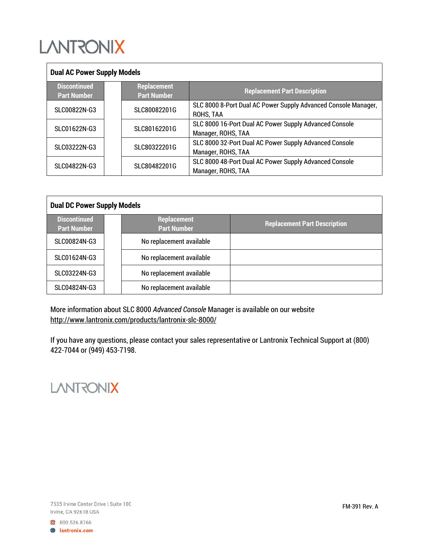# **LANTRONIX**

| <b>Dual AC Power Supply Models</b>        |  |                                          |                                                                              |
|-------------------------------------------|--|------------------------------------------|------------------------------------------------------------------------------|
| <b>Discontinued</b><br><b>Part Number</b> |  | <b>Replacement</b><br><b>Part Number</b> | <b>Replacement Part Description</b>                                          |
| SLC00822N-G3                              |  | SLC80082201G                             | SLC 8000 8-Port Dual AC Power Supply Advanced Console Manager,<br>ROHS, TAA  |
| SLC01622N-G3                              |  | SLC80162201G                             | SLC 8000 16-Port Dual AC Power Supply Advanced Console<br>Manager, ROHS, TAA |
| SLC03222N-G3                              |  | SLC80322201G                             | SLC 8000 32-Port Dual AC Power Supply Advanced Console<br>Manager, ROHS, TAA |
| SLC04822N-G3                              |  | SLC80482201G                             | SLC 8000 48-Port Dual AC Power Supply Advanced Console<br>Manager, ROHS, TAA |

| <b>Dual DC Power Supply Models</b>        |  |                                          |                                     |  |
|-------------------------------------------|--|------------------------------------------|-------------------------------------|--|
| <b>Discontinued</b><br><b>Part Number</b> |  | <b>Replacement</b><br><b>Part Number</b> | <b>Replacement Part Description</b> |  |
| SLC00824N-G3                              |  | No replacement available                 |                                     |  |
| SLC01624N-G3                              |  | No replacement available                 |                                     |  |
| SLC03224N-G3                              |  | No replacement available                 |                                     |  |
| SLC04824N-G3                              |  | No replacement available                 |                                     |  |

More information about SLC 8000 *Advanced Console* Manager is available on our website <http://www.lantronix.com/products/lantronix-slc-8000/>

If you have any questions, please contact your sales representative or Lantronix Technical Support at (800) 422-7044 or (949) 453-7198.

## **LANTRONIX**

800.526.8766 **B** lantronix.com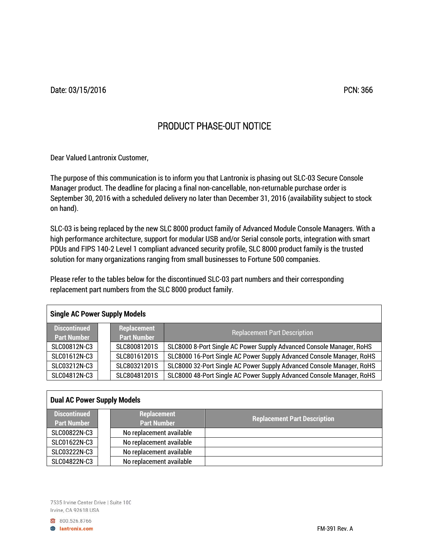Date: 03/15/2016 PCN: 366

## PRODUCT PHASE-OUT NOTICE

Dear Valued Lantronix Customer,

The purpose of this communication is to inform you that Lantronix is phasing out SLC-03 Secure Console Manager product. The deadline for placing a final non-cancellable, non-returnable purchase order is September 30, 2016 with a scheduled delivery no later than December 31, 2016 (availability subject to stock on hand).

SLC-03 is being replaced by the new SLC 8000 product family of Advanced Module Console Managers. With a high performance architecture, support for modular USB and/or Serial console ports, integration with smart PDUs and FIPS 140-2 Level 1 compliant advanced security profile, SLC 8000 product family is the trusted solution for many organizations ranging from small businesses to Fortune 500 companies.

Please refer to the tables below for the discontinued SLC-03 part numbers and their corresponding replacement part numbers from the SLC 8000 product family.

| <b>Single AC Power Supply Models</b>      |  |                                   |                                                                       |  |
|-------------------------------------------|--|-----------------------------------|-----------------------------------------------------------------------|--|
| <b>Discontinued</b><br><b>Part Number</b> |  | Replacement<br><b>Part Number</b> | <b>Replacement Part Description</b>                                   |  |
| SLC00812N-C3                              |  | SLC80081201S                      | SLC8000 8-Port Single AC Power Supply Advanced Console Manager, RoHS  |  |
| SLC01612N-C3                              |  | SLC80161201S                      | SLC8000 16-Port Single AC Power Supply Advanced Console Manager, RoHS |  |
| SLC03212N-C3                              |  | SLC80321201S                      | SLC8000 32-Port Single AC Power Supply Advanced Console Manager, RoHS |  |
| SLC04812N-C3                              |  | SLC80481201S                      | SLC8000 48-Port Single AC Power Supply Advanced Console Manager, RoHS |  |

| <b>Dual AC Power Supply Models</b> |                                   |                                     |  |  |
|------------------------------------|-----------------------------------|-------------------------------------|--|--|
| Discontinued<br><b>Part Number</b> | Replacement<br><b>Part Number</b> | <b>Replacement Part Description</b> |  |  |
| SLC00822N-C3                       | No replacement available          |                                     |  |  |
| SLC01622N-C3                       | No replacement available          |                                     |  |  |
| SLC03222N-C3                       | No replacement available          |                                     |  |  |
| SLC04822N-C3                       | No replacement available          |                                     |  |  |

7535 Irvine Center Drive | Suite 100 Irvine, CA 92618 USA

800.526.8766 **B** lantronix.com

Г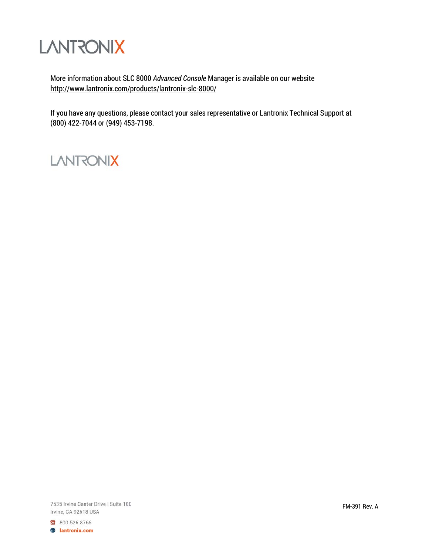

More information about SLC 8000 *Advanced Console* Manager is available on our website <http://www.lantronix.com/products/lantronix-slc-8000/>

If you have any questions, please contact your sales representative or Lantronix Technical Support at (800) 422-7044 or (949) 453-7198.

## **LANTRONIX**

7535 Irvine Center Drive | Suite 100 Irvine, CA 92618 USA

800.526.8766 **B** lantronix.com FM-391 Rev. A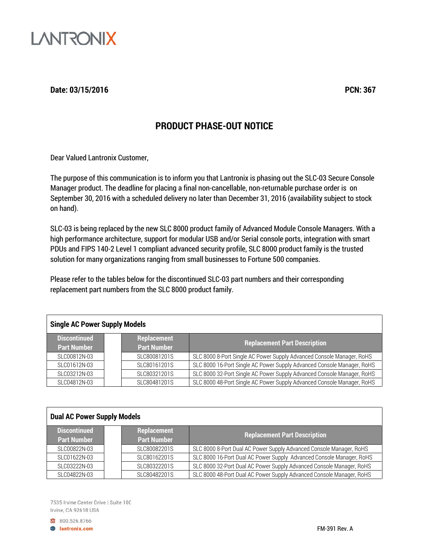

#### **Date: 03/15/2016 PCN: 367**

### **PRODUCT PHASE-OUT NOTICE**

Dear Valued Lantronix Customer,

The purpose of this communication is to inform you that Lantronix is phasing out the SLC-03 Secure Console Manager product. The deadline for placing a final non-cancellable, non-returnable purchase order is on September 30, 2016 with a scheduled delivery no later than December 31, 2016 (availability subject to stock on hand).

SLC-03 is being replaced by the new SLC 8000 product family of Advanced Module Console Managers. With a high performance architecture, support for modular USB and/or Serial console ports, integration with smart PDUs and FIPS 140-2 Level 1 compliant advanced security profile, SLC 8000 product family is the trusted solution for many organizations ranging from small businesses to Fortune 500 companies.

Please refer to the tables below for the discontinued SLC-03 part numbers and their corresponding replacement part numbers from the SLC 8000 product family.

### **Single AC Power Supply Models**

| <b>Discontinued</b><br><b>Part Number</b> | Replacement<br><b>Part Number</b> | <b>Replacement Part Description</b>                                    |
|-------------------------------------------|-----------------------------------|------------------------------------------------------------------------|
| SLC00812N-03                              | SLC80081201S                      | SLC 8000 8-Port Single AC Power Supply Advanced Console Manager, RoHS  |
| SLC01612N-03                              | SLC80161201S                      | SLC 8000 16-Port Single AC Power Supply Advanced Console Manager, RoHS |
| SLC03212N-03                              | SLC80321201S                      | SLC 8000 32-Port Single AC Power Supply Advanced Console Manager, RoHS |
| SLC04812N-03                              | SLC80481201S                      | SLC 8000 48-Port Single AC Power Supply Advanced Console Manager, RoHS |

#### **Dual AC Power Supply Models**

| <b>Discontinued</b><br><b>Part Number</b> | Replacement<br><b>Part Number</b> | <b>Replacement Part Description</b>                                  |
|-------------------------------------------|-----------------------------------|----------------------------------------------------------------------|
| SLC00822N-03                              | SLC80082201S                      | SLC 8000 8-Port Dual AC Power Supply Advanced Console Manager, RoHS  |
| SLC01622N-03                              | SLC80162201S                      | SLC 8000 16-Port Dual AC Power Supply Advanced Console Manager, RoHS |
| SLC03222N-03                              | SLC80322201S                      | SLC 8000 32-Port Dual AC Power Supply Advanced Console Manager, RoHS |
| SLC04822N-03                              | SLC80482201S                      | SLC 8000 48-Port Dual AC Power Supply Advanced Console Manager, RoHS |

7535 Irvine Center Drive | Suite 100 Irvine, CA 92618 USA

800.526.8766

**B** lantronix.com